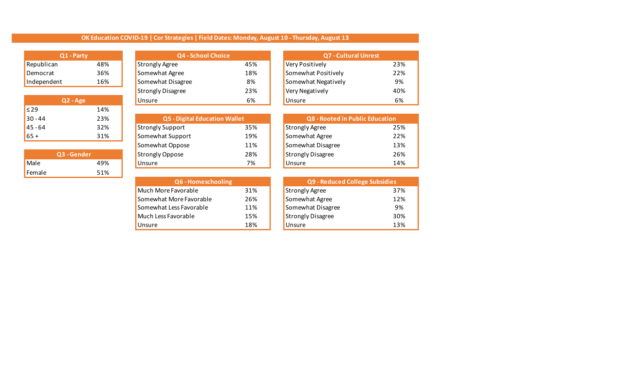## **OK Education COVID-19 | Cor Strategies | Field Dates: Monday, August 10 - Thursday, August 13**

| Q1 - Party  |     |
|-------------|-----|
| Republican  | 48% |
| Democrat    | 36% |
| Independent | 16% |

|           | Q2 - Age |
|-----------|----------|
| $\leq$ 29 | 14%      |
| $30 - 44$ | 23%      |
| $45 - 64$ | 32%      |
| $65+$     | 31%      |

|        | <b>Q3 - Gender</b> |
|--------|--------------------|
| Male   | 49%                |
| Female | 51%                |

| Q1 - Party                            |     | <b>Q4 - School Choice</b> |     | <b>Q7 - Cultural Unrest</b> |     |  |
|---------------------------------------|-----|---------------------------|-----|-----------------------------|-----|--|
| Republican                            | 48% | <b>Strongly Agree</b>     | 45% | Very Positively             | 23% |  |
| 36%<br>Democrat<br>Independent<br>16% |     | Somewhat Agree            | 18% | Somewhat Positively         | 22% |  |
|                                       |     | Somewhat Disagree         | 8%  | Somewhat Negatively         | 9%  |  |
|                                       |     | <b>Strongly Disagree</b>  | 23% | Very Negatively             | 40% |  |
| $Q2 - Age$                            |     | <b>Unsure</b>             | 6%  | <b>Unsure</b>               | 6%  |  |

| 30 - 44     | 23% | <b>Q5 - Digital Education Wallet</b> |     |                   | Q8 - Rooted in Public Education |  |  |
|-------------|-----|--------------------------------------|-----|-------------------|---------------------------------|--|--|
| 45 - 64     | 32% | <b>Strongly Support</b>              | 35% | Strongly Agree    | 25%                             |  |  |
| 65 +        | 31% | Somewhat Support                     | 19% | Somewhat Agree    | 22%                             |  |  |
|             |     | Somewhat Oppose                      | 11% | Somewhat Disagree | 13%                             |  |  |
| Q3 - Gender |     | <b>Strongly Oppose</b>               | 28% | Strongly Disagree | 26%                             |  |  |
| Male        | 49% | <b>Unsure</b>                        | 7%  | <b>Unsure</b>     | 14%                             |  |  |

| Q6 - Homeschooling      |     |                          | Q9 - Reduced College Subsidies |  |  |
|-------------------------|-----|--------------------------|--------------------------------|--|--|
| Much More Favorable     | 31% | Strongly Agree           | 37%                            |  |  |
| Somewhat More Favorable | 26% | Somewhat Agree           | 12%                            |  |  |
| Somewhat Less Favorable | 11% | Somewhat Disagree        | 9%                             |  |  |
| Much Less Favorable     | 15% | <b>Strongly Disagree</b> | 30%                            |  |  |
| Unsure                  | 18% | <b>Unsure</b>            | 13%                            |  |  |

| <b>Q7 - Cultural Unrest</b> |     |
|-----------------------------|-----|
| Very Positively             | 23% |
| Somewhat Positively         | 22% |
| Somewhat Negatively         | 9%  |
| Very Negatively             | 40% |
| Unsure                      |     |

| <b>Q8 - Rooted in Public Education</b> |     |
|----------------------------------------|-----|
| <b>Strongly Agree</b>                  | 25% |
| Somewhat Agree                         | 22% |
| Somewhat Disagree                      | 13% |
| <b>Strongly Disagree</b>               | 26% |
| Unsure                                 | 14% |

| Q9 - Reduced College Subsidies |     |  |  |  |  |  |  |
|--------------------------------|-----|--|--|--|--|--|--|
| <b>Strongly Agree</b>          | 37% |  |  |  |  |  |  |
| Somewhat Agree                 | 12% |  |  |  |  |  |  |
| Somewhat Disagree              | 9%  |  |  |  |  |  |  |
| <b>Strongly Disagree</b>       | 30% |  |  |  |  |  |  |
| Unsure                         | 13% |  |  |  |  |  |  |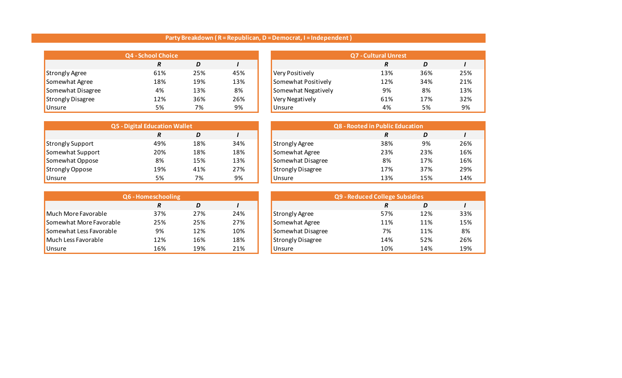## **Party Breakdown ( R = Republican, D = Democrat, I = Independent )**

| <b>Q4 - School Choice</b> |     |     |     |                     | <b>Q7 - Cultural Unrest</b> |     |     |
|---------------------------|-----|-----|-----|---------------------|-----------------------------|-----|-----|
|                           | R   | D   |     |                     | R                           | D   |     |
| Strongly Agree            | 61% | 25% | 45% | Very Positively     | 13%                         | 36% | 25% |
| Somewhat Agree            | 18% | 19% | 13% | Somewhat Positively | 12%                         | 34% | 21% |
| Somewhat Disagree         | 4%  | 13% | 8%  | Somewhat Negatively | 9%                          | 8%  | 13% |
| Strongly Disagree         | 12% | 36% | 26% | Very Negatively     | 61%                         | 17% | 32% |
| Unsure                    | 5%  | 7%  | 9%  | <b>Unsure</b>       | 4%                          | 5%  | 9%  |

| Q4 - School Choice |     |     |                     | <b>Q7 - Cultural Unrest</b> |     |     |
|--------------------|-----|-----|---------------------|-----------------------------|-----|-----|
| R                  | D   |     |                     | R                           | D   |     |
| 61%                | 25% | 45% | Very Positively     | 13%                         | 36% | 25% |
| 18%                | 19% | 13% | Somewhat Positively | 12%                         | 34% | 21% |
| 4%                 | 13% | 8%  | Somewhat Negatively | 9%                          | 8%  | 13% |
| 12%                | 36% | 26% | Very Negatively     | 61%                         | 17% | 32% |
| 5%                 | 7%  | 9%  | <b>Unsure</b>       | 4%                          | 5%  | 9%  |

| <b>Q5 - Digital Education Wallet</b> |     |     |     |                          | <b>Q8 - Rooted in Public Education</b> |     |     |
|--------------------------------------|-----|-----|-----|--------------------------|----------------------------------------|-----|-----|
|                                      | R   | D   |     |                          | R                                      | D   |     |
| Strongly Support                     | 49% | 18% | 34% | <b>Strongly Agree</b>    | 38%                                    | 9%  | 26% |
| Somewhat Support                     | 20% | 18% | 18% | Somewhat Agree           | 23%                                    | 23% | 16% |
| Somewhat Oppose                      | 8%  | 15% | 13% | Somewhat Disagree        | 8%                                     | 17% | 16% |
| Strongly Oppose                      | 19% | 41% | 27% | <b>Strongly Disagree</b> | 17%                                    | 37% | 29% |
| <b>Unsure</b>                        | 5%  | 7%  | 9%  | Unsure                   | 13%                                    | 15% | 14% |

| Q6 - Homeschooling      |     |     |     |  |                          | Q9 - Reduced College Subsidies |     |     |
|-------------------------|-----|-----|-----|--|--------------------------|--------------------------------|-----|-----|
|                         | R   | D   |     |  |                          | R                              | D   |     |
| Much More Favorable     | 37% | 27% | 24% |  | <b>Strongly Agree</b>    | 57%                            | 12% | 33% |
| Somewhat More Favorable | 25% | 25% | 27% |  | Somewhat Agree           | 11%                            | 11% | 15% |
| Somewhat Less Favorable | 9%  | 12% | 10% |  | Somewhat Disagree        | 7%                             | 11% | 8%  |
| Much Less Favorable     | 12% | 16% | 18% |  | <b>Strongly Disagree</b> | 14%                            | 52% | 26% |
| <b>Unsure</b>           | 16% | 19% | 21% |  | Unsure                   | 10%                            | 14% | 19% |

| Q5 - Digital Education Wallet |     |     |     |                          | <b>Q8 - Rooted in Public Education</b> |     |
|-------------------------------|-----|-----|-----|--------------------------|----------------------------------------|-----|
|                               | R   | D   |     |                          | R                                      | D   |
|                               | 49% | 18% | 34% | <b>Strongly Agree</b>    | 38%                                    | 9%  |
|                               | 20% | 18% | 18% | Somewhat Agree           | 23%                                    | 23% |
|                               | 8%  | 15% | 13% | Somewhat Disagree        | 8%                                     | 17% |
|                               | 19% | 41% | 27% | <b>Strongly Disagree</b> | 17%                                    | 37% |
|                               | 5%  | 7%  | 9%  | Unsure                   | 13%                                    | 15% |

| Q6 - Homeschooling |     |     |                          | Q9 - Reduced College Subsidies |     |     |
|--------------------|-----|-----|--------------------------|--------------------------------|-----|-----|
| R                  | D   |     |                          | R                              | D   |     |
| 37%                | 27% | 24% | <b>Strongly Agree</b>    | 57%                            | 12% | 33% |
| 25%                | 25% | 27% | Somewhat Agree           | 11%                            | 11% | 15% |
| 9%                 | 12% | 10% | Somewhat Disagree        | 7%                             | 11% | 8%  |
| 12%                | 16% | 18% | <b>Strongly Disagree</b> | 14%                            | 52% | 26% |
| 16%                | 19% | 21% | <b>Unsure</b>            | 10%                            | 14% | 19% |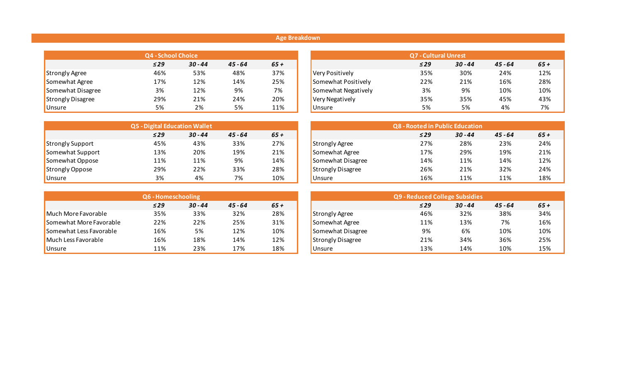## **Age Breakdown**

|                          | <b>Q4 - School Choice</b> |           |           |       |
|--------------------------|---------------------------|-----------|-----------|-------|
|                          | $\leq$ 29                 | $30 - 44$ | $45 - 64$ | $65+$ |
| <b>Strongly Agree</b>    | 46%                       | 53%       | 48%       | 37%   |
| Somewhat Agree           | 17%                       | 12%       | 14%       | 25%   |
| Somewhat Disagree        | 3%                        | 12%       | 9%        | 7%    |
| <b>Strongly Disagree</b> | 29%                       | 21%       | 24%       | 20%   |
| Unsure                   | 5%                        | 2%        | 5%        | 11%   |

|                         | <b>Q5 - Digital Education Wallet</b> |           |           |        |        | <b>Q8 - Rooted in Public Education</b> |           |           |           |  |
|-------------------------|--------------------------------------|-----------|-----------|--------|--------|----------------------------------------|-----------|-----------|-----------|--|
|                         | $\leq$ 29                            | $30 - 44$ | $45 - 64$ | $65 +$ |        |                                        | $\leq$ 29 | $30 - 44$ | $45 - 64$ |  |
| <b>Strongly Support</b> | 45%                                  | 43%       | 33%       | 27%    |        | <b>Strongly Agree</b>                  | 27%       | 28%       | 23%       |  |
| Somewhat Support        | 13%                                  | 20%       | 19%       | 21%    |        | Somewhat Agree                         | 17%       | 29%       | 19%       |  |
| Somewhat Oppose         | 11%                                  | 11%       | 9%        | 14%    |        | Somewhat Disagree                      | 14%       | 11%       | 14%       |  |
| Strongly Oppose         | 29%                                  | 22%       | 33%       | 28%    |        | <b>Strongly Disagree</b>               | 26%       | 21%       | 32%       |  |
| Unsure                  | 3%                                   | 4%        | 7%        | 10%    | Unsure |                                        | 16%       | 11%       | 11%       |  |

|                         | <b>Q6 - Homeschooling</b> |           |           |       |                          | Q9 - Reduced College Subsidies |           |           |  |
|-------------------------|---------------------------|-----------|-----------|-------|--------------------------|--------------------------------|-----------|-----------|--|
|                         | $\leq$ 29                 | $30 - 44$ | $45 - 64$ | $65+$ |                          | $\leq$ 29                      | $30 - 44$ | $45 - 64$ |  |
| Much More Favorable     | 35%                       | 33%       | 32%       | 28%   | <b>Strongly Agree</b>    | 46%                            | 32%       | 38%       |  |
| Somewhat More Favorable | 22%                       | 22%       | 25%       | 31%   | Somewhat Agree           | 11%                            | 13%       | 7%        |  |
| Somewhat Less Favorable | 16%                       | 5%        | 12%       | 10%   | Somewhat Disagree        | 9%                             | 6%        | 10%       |  |
| Much Less Favorable     | 16%                       | 18%       | 14%       | 12%   | <b>Strongly Disagree</b> | 21%                            | 34%       | 36%       |  |
| Unsure                  | 11%                       | 23%       | 17%       | 18%   | <b>Unsure</b>            | 13%                            | 14%       | 10%       |  |

| Q4 - School Choice |           |           |       |                     | <b>Q7 - Cultural Unrest</b> |           |  |  |  |
|--------------------|-----------|-----------|-------|---------------------|-----------------------------|-----------|--|--|--|
| $\leq$ 29          | $30 - 44$ | $45 - 64$ | $65+$ |                     | $\leq$ 29                   | $30 - 44$ |  |  |  |
| 46%                | 53%       | 48%       | 37%   | Very Positively     | 35%                         | 30%       |  |  |  |
| 17%                | 12%       | 14%       | 25%   | Somewhat Positively | 22%                         | 21%       |  |  |  |
| 3%                 | 12%       | 9%        | 7%    | Somewhat Negatively | 3%                          | 9%        |  |  |  |
| 29%                | 21%       | 24%       | 20%   | Very Negatively     | 35%                         | 35%       |  |  |  |
| 5%                 | 2%        | 5%        | 11%   | <b>Unsure</b>       | 5%                          | 5%        |  |  |  |

|           | <b>Q5 - Digital Education Wallet</b> |           |       |
|-----------|--------------------------------------|-----------|-------|
| $\leq$ 29 | $30 - 44$                            | $45 - 64$ | $65+$ |
| 45%       | 43%                                  | 33%       | 27%   |
| 13%       | 20%                                  | 19%       | 21%   |
| 11%       | 11%                                  | 9%        | 14%   |
| 29%       | 22%                                  | 33%       | 28%   |
| 3%        | 4%                                   | 7%        | 10%   |

| Q6 - Homeschooling |           |           |      |                          | Q9 - Reduced College Subsidies |           |           |  |  |
|--------------------|-----------|-----------|------|--------------------------|--------------------------------|-----------|-----------|--|--|
| $\leq$ 29          | $30 - 44$ | $45 - 64$ | 65 + |                          | $\leq$ 29                      | $30 - 44$ | $45 - 64$ |  |  |
| 35%                | 33%       | 32%       | 28%  | Strongly Agree           | 46%                            | 32%       | 38%       |  |  |
| 22%                | 22%       | 25%       | 31%  | Somewhat Agree           | 11%                            | 13%       | 7%        |  |  |
| 16%                | 5%        | 12%       | 10%  | Somewhat Disagree        | 9%                             | 6%        | 10%       |  |  |
| 16%                | 18%       | 14%       | 12%  | <b>Strongly Disagree</b> | 21%                            | 34%       | 36%       |  |  |
| 11%                | 23%       | 17%       | 18%  | <b>Unsure</b>            | 13%                            | 14%       | 10%       |  |  |